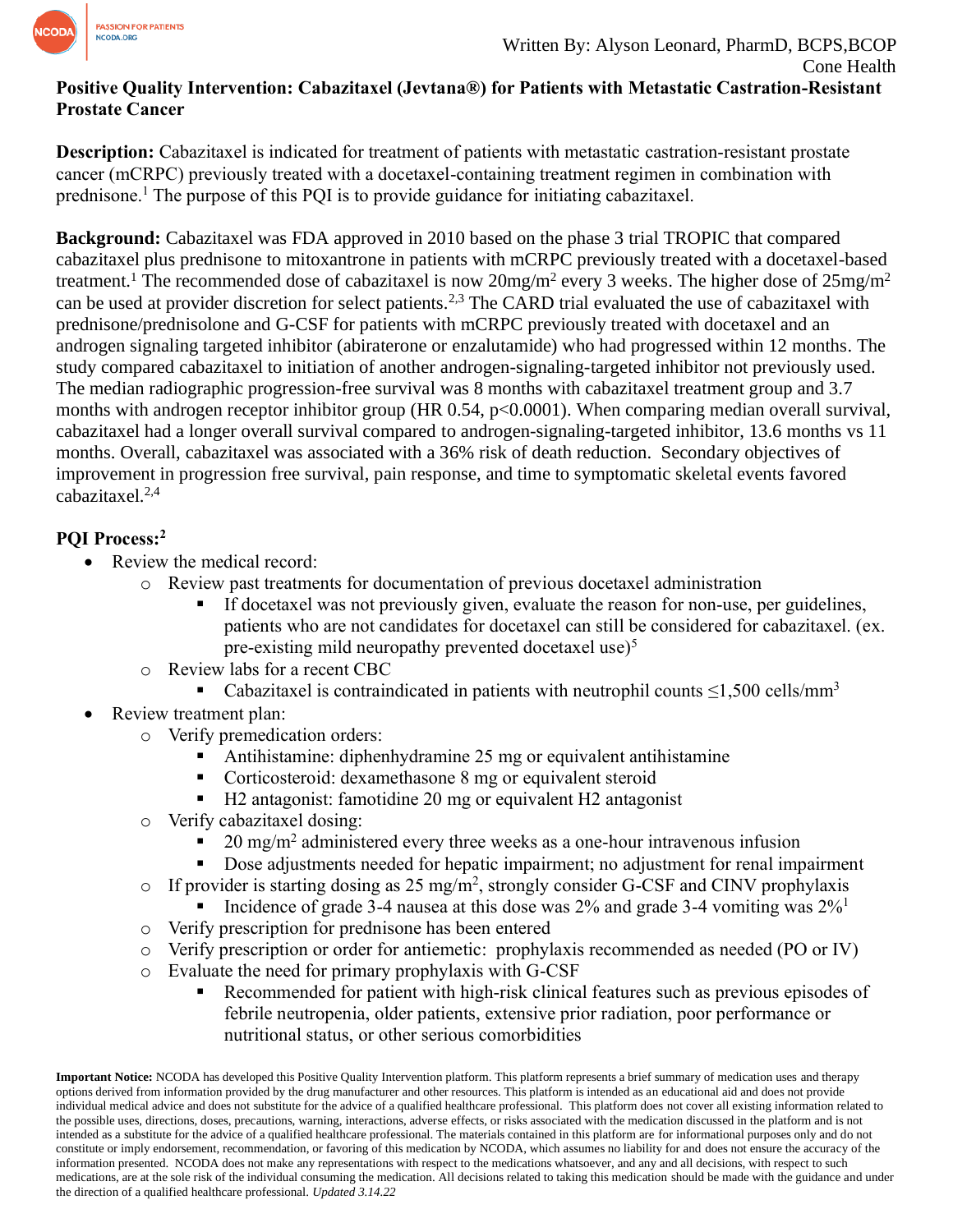

## **Positive Quality Intervention: Cabazitaxel (Jevtana®) for Patients with Metastatic Castration-Resistant Prostate Cancer**

**Description:** Cabazitaxel is indicated for treatment of patients with metastatic castration-resistant prostate cancer (mCRPC) previously treated with a docetaxel-containing treatment regimen in combination with prednisone. <sup>1</sup> The purpose of this PQI is to provide guidance for initiating cabazitaxel.

**Background:** Cabazitaxel was FDA approved in 2010 based on the phase 3 trial TROPIC that compared cabazitaxel plus prednisone to mitoxantrone in patients with mCRPC previously treated with a docetaxel-based treatment.<sup>1</sup> The recommended dose of cabazitaxel is now  $20$ mg/m<sup>2</sup> every 3 weeks. The higher dose of  $25$ mg/m<sup>2</sup> can be used at provider discretion for select patients.<sup>2,3</sup> The CARD trial evaluated the use of cabazitaxel with prednisone/prednisolone and G-CSF for patients with mCRPC previously treated with docetaxel and an androgen signaling targeted inhibitor (abiraterone or enzalutamide) who had progressed within 12 months. The study compared cabazitaxel to initiation of another androgen-signaling-targeted inhibitor not previously used. The median radiographic progression-free survival was 8 months with cabazitaxel treatment group and 3.7 months with androgen receptor inhibitor group (HR 0.54, p<0.0001). When comparing median overall survival, cabazitaxel had a longer overall survival compared to androgen-signaling-targeted inhibitor, 13.6 months vs 11 months. Overall, cabazitaxel was associated with a 36% risk of death reduction. Secondary objectives of improvement in progression free survival, pain response, and time to symptomatic skeletal events favored cabazitaxel. $2,4$ 

## **PQI Process:<sup>2</sup>**

- Review the medical record:
	- o Review past treatments for documentation of previous docetaxel administration
		- If docetaxel was not previously given, evaluate the reason for non-use, per guidelines, patients who are not candidates for docetaxel can still be considered for cabazitaxel. (ex. pre-existing mild neuropathy prevented docetaxel use)<sup>5</sup>
	- o Review labs for a recent CBC
		- Cabazitaxel is contraindicated in patients with neutrophil counts  $\leq$ 1,500 cells/mm<sup>3</sup>
- Review treatment plan:
	- o Verify premedication orders:
		- Antihistamine: diphenhydramine 25 mg or equivalent antihistamine
		- Corticosteroid: dexamethasone 8 mg or equivalent steroid
		- H2 antagonist: famotidine 20 mg or equivalent H2 antagonist
	- o Verify cabazitaxel dosing:
		- $\blacksquare$  20 mg/m<sup>2</sup> administered every three weeks as a one-hour intravenous infusion
		- Dose adjustments needed for hepatic impairment; no adjustment for renal impairment
	- o If provider is starting dosing as 25 mg/m<sup>2</sup>, strongly consider G-CSF and CINV prophylaxis
		- Incidence of grade 3-4 nausea at this dose was  $2\%$  and grade 3-4 vomiting was  $2\%$ <sup>1</sup>
	- o Verify prescription for prednisone has been entered
	- o Verify prescription or order for antiemetic: prophylaxis recommended as needed (PO or IV)
	- o Evaluate the need for primary prophylaxis with G-CSF
		- Recommended for patient with high-risk clinical features such as previous episodes of febrile neutropenia, older patients, extensive prior radiation, poor performance or nutritional status, or other serious comorbidities

**Important Notice:** NCODA has developed this Positive Quality Intervention platform. This platform represents a brief summary of medication uses and therapy options derived from information provided by the drug manufacturer and other resources. This platform is intended as an educational aid and does not provide individual medical advice and does not substitute for the advice of a qualified healthcare professional. This platform does not cover all existing information related to the possible uses, directions, doses, precautions, warning, interactions, adverse effects, or risks associated with the medication discussed in the platform and is not intended as a substitute for the advice of a qualified healthcare professional. The materials contained in this platform are for informational purposes only and do not constitute or imply endorsement, recommendation, or favoring of this medication by NCODA, which assumes no liability for and does not ensure the accuracy of the information presented. NCODA does not make any representations with respect to the medications whatsoever, and any and all decisions, with respect to such medications, are at the sole risk of the individual consuming the medication. All decisions related to taking this medication should be made with the guidance and under the direction of a qualified healthcare professional. *Updated 3.14.22*